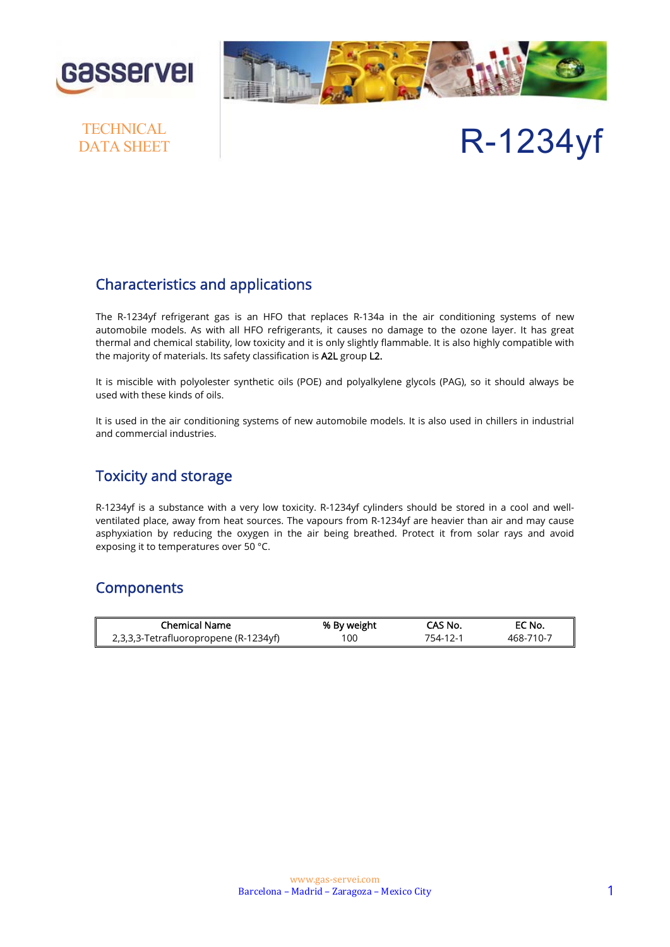



# **TECHNICAL**

# DATA SHEET R-1234yf

#### Characteristics and applications

The R-1234yf refrigerant gas is an HFO that replaces R-134a in the air conditioning systems of new automobile models. As with all HFO refrigerants, it causes no damage to the ozone layer. It has great thermal and chemical stability, low toxicity and it is only slightly flammable. It is also highly compatible with the majority of materials. Its safety classification is A2L group L2.

It is miscible with polyolester synthetic oils (POE) and polyalkylene glycols (PAG), so it should always be used with these kinds of oils.

It is used in the air conditioning systems of new automobile models. It is also used in chillers in industrial and commercial industries.

#### Toxicity and storage

R-1234yf is a substance with a very low toxicity. R-1234yf cylinders should be stored in a cool and wellventilated place, away from heat sources. The vapours from R-1234yf are heavier than air and may cause asphyxiation by reducing the oxygen in the air being breathed. Protect it from solar rays and avoid exposing it to temperatures over 50 °C.

#### **Components**

| <b>Chemical Name</b>                  | % By weight | CAS No.  | EC No.    |
|---------------------------------------|-------------|----------|-----------|
| 2,3,3,3-Tetrafluoropropene (R-1234yf) | 100         | 754-12-1 | 468-710-7 |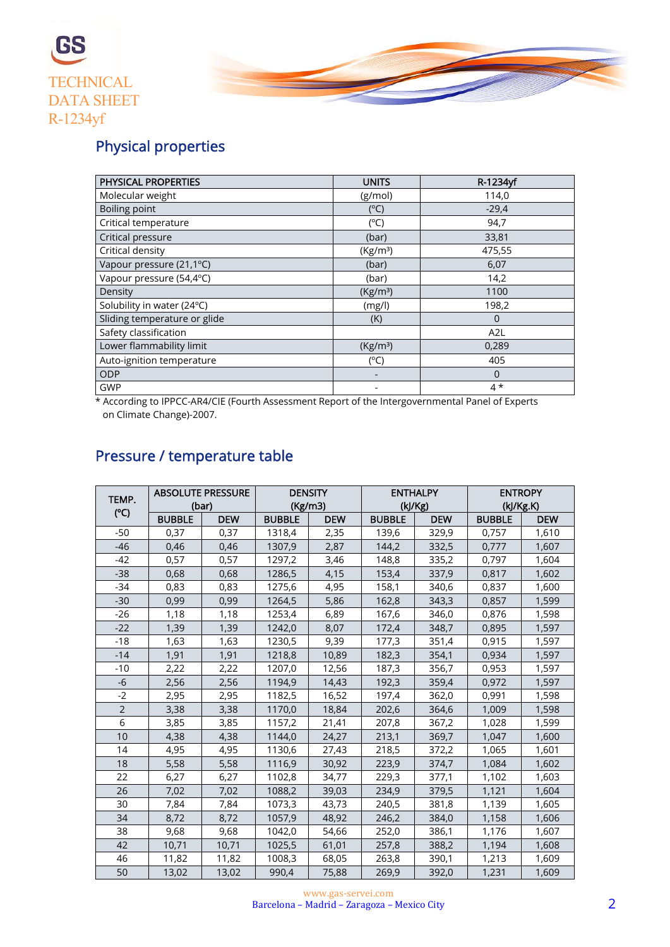



## Physical properties

| <b>PHYSICAL PROPERTIES</b>   | <b>UNITS</b>         | R-1234yf         |
|------------------------------|----------------------|------------------|
| Molecular weight             | (g/mol)              | 114,0            |
| Boiling point                | $(^{\circ}C)$        | $-29,4$          |
| Critical temperature         | $(^{\circ}C)$        | 94,7             |
| Critical pressure            | (bar)                | 33,81            |
| Critical density             | (Kg/m <sup>3</sup> ) | 475,55           |
| Vapour pressure (21,1°C)     | (bar)                | 6,07             |
| Vapour pressure (54,4°C)     | (bar)                | 14,2             |
| Density                      | (Kg/m <sup>3</sup> ) | 1100             |
| Solubility in water (24°C)   | (mg/l)               | 198,2            |
| Sliding temperature or glide | (K)                  | $\overline{0}$   |
| Safety classification        |                      | A <sub>2</sub> L |
| Lower flammability limit     | (Kg/m <sup>3</sup> ) | 0,289            |
| Auto-ignition temperature    | $(^{\circ}C)$        | 405              |
| ODP                          |                      | $\overline{0}$   |
| <b>GWP</b>                   |                      | $4*$             |

 \* According to IPPCC-AR4/CIE (Fourth Assessment Report of the Intergovernmental Panel of Experts on Climate Change)-2007.

| TEMP.          | <b>ABSOLUTE PRESSURE</b><br>(bar) |            | <b>DENSITY</b><br>(Kg/m3) |            | <b>ENTHALPY</b><br>(kJ/Kg) |            | <b>ENTROPY</b><br>(kJ/Kg.K) |            |
|----------------|-----------------------------------|------------|---------------------------|------------|----------------------------|------------|-----------------------------|------------|
| $(^{\circ}C)$  | <b>BUBBLE</b>                     | <b>DEW</b> | <b>BUBBLE</b>             | <b>DEW</b> | <b>BUBBLE</b>              | <b>DEW</b> | <b>BUBBLE</b>               | <b>DEW</b> |
| $-50$          | 0,37                              | 0,37       | 1318,4                    | 2,35       | 139,6                      | 329,9      | 0,757                       | 1,610      |
| $-46$          | 0,46                              | 0,46       | 1307,9                    | 2,87       | 144,2                      | 332,5      | 0,777                       | 1,607      |
| $-42$          | 0,57                              | 0,57       | 1297,2                    | 3,46       | 148,8                      | 335,2      | 0,797                       | 1,604      |
| $-38$          | 0,68                              | 0,68       | 1286,5                    | 4,15       | 153,4                      | 337,9      | 0,817                       | 1,602      |
| $-34$          | 0,83                              | 0,83       | 1275,6                    | 4,95       | 158,1                      | 340,6      | 0,837                       | 1,600      |
| $-30$          | 0,99                              | 0,99       | 1264,5                    | 5,86       | 162,8                      | 343,3      | 0,857                       | 1,599      |
| $-26$          | 1,18                              | 1,18       | 1253,4                    | 6,89       | 167,6                      | 346,0      | 0,876                       | 1,598      |
| $-22$          | 1,39                              | 1,39       | 1242,0                    | 8,07       | 172,4                      | 348,7      | 0,895                       | 1,597      |
| $-18$          | 1,63                              | 1,63       | 1230,5                    | 9,39       | 177,3                      | 351,4      | 0,915                       | 1,597      |
| $-14$          | 1,91                              | 1,91       | 1218,8                    | 10,89      | 182,3                      | 354,1      | 0,934                       | 1,597      |
| $-10$          | 2,22                              | 2,22       | 1207,0                    | 12,56      | 187,3                      | 356,7      | 0,953                       | 1,597      |
| $-6$           | 2,56                              | 2,56       | 1194,9                    | 14,43      | 192,3                      | 359,4      | 0,972                       | 1,597      |
| $-2$           | 2,95                              | 2,95       | 1182,5                    | 16,52      | 197,4                      | 362,0      | 0,991                       | 1,598      |
| $\overline{2}$ | 3,38                              | 3,38       | 1170,0                    | 18,84      | 202,6                      | 364,6      | 1,009                       | 1,598      |
| 6              | 3,85                              | 3,85       | 1157,2                    | 21,41      | 207,8                      | 367,2      | 1,028                       | 1,599      |
| 10             | 4,38                              | 4,38       | 1144,0                    | 24,27      | 213,1                      | 369,7      | 1,047                       | 1,600      |
| 14             | 4,95                              | 4,95       | 1130,6                    | 27,43      | 218,5                      | 372,2      | 1,065                       | 1,601      |
| 18             | 5,58                              | 5,58       | 1116,9                    | 30,92      | 223,9                      | 374,7      | 1,084                       | 1,602      |
| 22             | 6,27                              | 6,27       | 1102,8                    | 34,77      | 229,3                      | 377,1      | 1,102                       | 1,603      |
| 26             | 7,02                              | 7,02       | 1088,2                    | 39,03      | 234,9                      | 379,5      | 1,121                       | 1,604      |
| 30             | 7,84                              | 7,84       | 1073,3                    | 43,73      | 240,5                      | 381,8      | 1,139                       | 1,605      |
| 34             | 8,72                              | 8,72       | 1057,9                    | 48,92      | 246,2                      | 384,0      | 1,158                       | 1,606      |
| 38             | 9,68                              | 9,68       | 1042,0                    | 54,66      | 252,0                      | 386,1      | 1,176                       | 1,607      |
| 42             | 10,71                             | 10,71      | 1025,5                    | 61,01      | 257,8                      | 388,2      | 1,194                       | 1,608      |
| 46             | 11,82                             | 11,82      | 1008,3                    | 68,05      | 263,8                      | 390,1      | 1,213                       | 1,609      |
| 50             | 13,02                             | 13,02      | 990,4                     | 75,88      | 269,9                      | 392,0      | 1,231                       | 1,609      |

### Pressure / temperature table